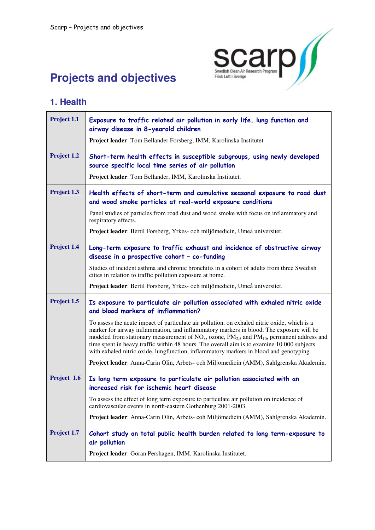

# **Projects and objectives**

#### **1. Health**

| Project 1.1 | Exposure to traffic related air pollution in early life, lung function and<br>airway disease in 8-yearold children                                                                                                                                                                                                                                                                                                                                                                  |
|-------------|-------------------------------------------------------------------------------------------------------------------------------------------------------------------------------------------------------------------------------------------------------------------------------------------------------------------------------------------------------------------------------------------------------------------------------------------------------------------------------------|
|             | Project leader: Tom Bellander Forsberg, IMM, Karolinska Institutet.                                                                                                                                                                                                                                                                                                                                                                                                                 |
| Project 1.2 | Short-term health effects in susceptible subgroups, using newly developed<br>source specific local time series of air pollution                                                                                                                                                                                                                                                                                                                                                     |
|             | Project leader: Tom Bellander, IMM, Karolinska Institutet.                                                                                                                                                                                                                                                                                                                                                                                                                          |
| Project 1.3 | Health effects of short-term and cumulative seasonal exposure to road dust<br>and wood smoke particles at real-world exposure conditions                                                                                                                                                                                                                                                                                                                                            |
|             | Panel studies of particles from road dust and wood smoke with focus on inflammatory and<br>respiratory effects.                                                                                                                                                                                                                                                                                                                                                                     |
|             | Project leader: Bertil Forsberg, Yrkes- och miljömedicin, Umeå universitet.                                                                                                                                                                                                                                                                                                                                                                                                         |
| Project 1.4 | Long-term exposure to traffic exhaust and incidence of obstructive airway<br>disease in a prospective cohort - co-funding                                                                                                                                                                                                                                                                                                                                                           |
|             | Studies of incident asthma and chronic bronchitis in a cohort of adults from three Swedish<br>cities in relation to traffic pollution exposure at home.                                                                                                                                                                                                                                                                                                                             |
|             | Project leader: Bertil Forsberg, Yrkes- och miljömedicin, Umeå universitet.                                                                                                                                                                                                                                                                                                                                                                                                         |
| Project 1.5 | Is exposure to particulate air pollution associated with exhaled nitric oxide<br>and blood markers of imflammation?                                                                                                                                                                                                                                                                                                                                                                 |
|             | To assess the acute impact of particulate air pollution, on exhaled nitric oxide, which is a<br>marker for airway inflammation, and inflammatory markers in blood. The exposure will be<br>modeled from stationary measurement of $NOx$ , ozone, $PM2.5$ and $PM10$ , permanent address and<br>time spent in heavy traffic within 48 hours. The overall aim is to examine 10 000 subjects<br>with exhaled nitric oxide, lungfunction, inflammatory markers in blood and genotyping. |
|             | Project leader: Anna-Carin Olin, Arbets- och Miljömedicin (AMM), Sahlgrenska Akademin.                                                                                                                                                                                                                                                                                                                                                                                              |
| Project 1.6 | Is long term exposure to particulate air pollution associated with an<br>increased risk for ischemic heart disease                                                                                                                                                                                                                                                                                                                                                                  |
|             | To assess the effect of long term exposure to particulate air pollution on incidence of<br>cardiovascular events in north-eastern Gothenburg 2001-2003.                                                                                                                                                                                                                                                                                                                             |
|             | Project leader: Anna-Carin Olin, Arbets- coh Miljömedicin (AMM), Sahlgrenska Akademin.                                                                                                                                                                                                                                                                                                                                                                                              |
| Project 1.7 | Cohort study on total public health burden related to long term-exposure to<br>air pollution                                                                                                                                                                                                                                                                                                                                                                                        |
|             | Project leader: Göran Pershagen, IMM, Karolinska Institutet.                                                                                                                                                                                                                                                                                                                                                                                                                        |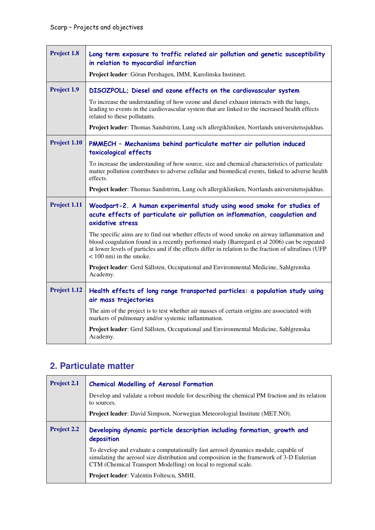| Project 1.8  | Long term exposure to traffic related air pollution and genetic susceptibility<br>in relation to myocardial infarction<br>Project leader: Göran Pershagen, IMM, Karolinska Institutet.                                                                                                                                           |
|--------------|----------------------------------------------------------------------------------------------------------------------------------------------------------------------------------------------------------------------------------------------------------------------------------------------------------------------------------|
| Project 1.9  | DISOZPOLL; Diesel and ozone effects on the cardiovascular system                                                                                                                                                                                                                                                                 |
|              | To increase the understanding of how ozone and diesel exhaust interacts with the lungs,<br>leading to events in the cardiovascular system that are linked to the increased health effects<br>related to these pollutants.                                                                                                        |
|              | Project leader: Thomas Sandström, Lung och allergikliniken, Norrlands universitetssjukhus.                                                                                                                                                                                                                                       |
| Project 1.10 | PMMECH - Mechanisms behind particulate matter air pollution induced<br>toxicological effects                                                                                                                                                                                                                                     |
|              | To increase the understanding of how source, size and chemical characteristics of particulate<br>matter pollution contributes to adverse cellular and biomedical events, linked to adverse health<br>effects.                                                                                                                    |
|              | Project leader: Thomas Sandström, Lung och allergikliniken, Norrlands universitetssjukhus.                                                                                                                                                                                                                                       |
| Project 1.11 | Woodpart-2. A human experimental study using wood smoke for studies of<br>acute effects of particulate air pollution on inflammation, coagulation and<br>oxidative stress                                                                                                                                                        |
|              | The specific aims are to find out whether effects of wood smoke on airway inflammation and<br>blood coagulation found in a recently performed study (Barregard et al 2006) can be repeated<br>at lower levels of particles and if the effects differ in relation to the fraction of ultrafines (UFP<br>$<$ 100 nm) in the smoke. |
|              | Project leader: Gerd Sällsten, Occupational and Environmental Medicine, Sahlgrenska<br>Academy.                                                                                                                                                                                                                                  |
| Project 1.12 | Health effects of long range transported particles: a population study using<br>air mass trajectories                                                                                                                                                                                                                            |
|              | The aim of the project is to test whether air masses of certain origins are associated with<br>markers of pulmonary and/or systemic inflammation.                                                                                                                                                                                |
|              | Project leader: Gerd Sällsten, Occupational and Environmental Medicine, Sahlgrenska<br>Academy.                                                                                                                                                                                                                                  |

### **2. Particulate matter**

| Project 2.1        | <b>Chemical Modelling of Aerosol Formation</b>                                                                                                                                                                                                    |
|--------------------|---------------------------------------------------------------------------------------------------------------------------------------------------------------------------------------------------------------------------------------------------|
|                    | Develop and validate a robust module for describing the chemical PM fraction and its relation<br>to sources.                                                                                                                                      |
|                    | Project leader: David Simpson, Norwegian Meteorologial Institute (MET.NO).                                                                                                                                                                        |
| <b>Project 2.2</b> | Developing dynamic particle description including formation, growth and<br>deposition                                                                                                                                                             |
|                    | To develop and evaluate a computationally fast aerosol dynamics module, capable of<br>simulating the aerosol size distribution and composition in the framework of 3-D Eulerian<br>CTM (Chemical Transport Modelling) on local to regional scale. |
|                    | <b>Project leader:</b> Valentin Foltescu, SMHI.                                                                                                                                                                                                   |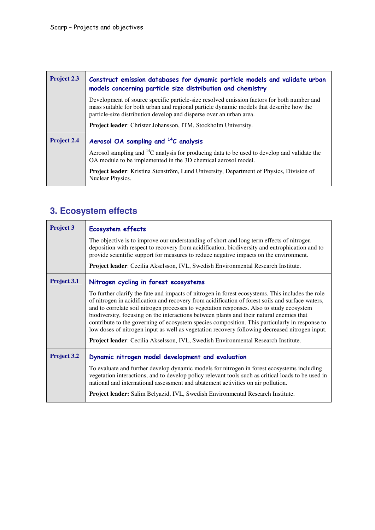| <b>Project 2.3</b> | Construct emission databases for dynamic particle models and validate urban<br>models concerning particle size distribution and chemistry                                                                                                                    |
|--------------------|--------------------------------------------------------------------------------------------------------------------------------------------------------------------------------------------------------------------------------------------------------------|
|                    | Development of source specific particle-size resolved emission factors for both number and<br>mass suitable for both urban and regional particle dynamic models that describe how the<br>particle-size distribution develop and disperse over an urban area. |
|                    | Project leader: Christer Johansson, ITM, Stockholm University.                                                                                                                                                                                               |
| Project 2.4        | Aerosol OA sampling and <sup>14</sup> C analysis                                                                                                                                                                                                             |
|                    | Aerosol sampling and ${}^{14}C$ analysis for producing data to be used to develop and validate the<br>OA module to be implemented in the 3D chemical aerosol model.                                                                                          |
|                    | Project leader: Kristina Stenström, Lund University, Department of Physics, Division of<br>Nuclear Physics.                                                                                                                                                  |

# **3. Ecosystem effects**

| <b>Project 3</b>   | <b>Ecosystem effects</b>                                                                                                                                                                                                                                                                                                                                                                                                                                                                                                                                                                                                                                                               |
|--------------------|----------------------------------------------------------------------------------------------------------------------------------------------------------------------------------------------------------------------------------------------------------------------------------------------------------------------------------------------------------------------------------------------------------------------------------------------------------------------------------------------------------------------------------------------------------------------------------------------------------------------------------------------------------------------------------------|
|                    | The objective is to improve our understanding of short and long term effects of nitrogen<br>deposition with respect to recovery from acidification, biodiversity and eutrophication and to<br>provide scientific support for measures to reduce negative impacts on the environment.                                                                                                                                                                                                                                                                                                                                                                                                   |
|                    | Project leader: Cecilia Akselsson, IVL, Swedish Environmental Research Institute.                                                                                                                                                                                                                                                                                                                                                                                                                                                                                                                                                                                                      |
| Project 3.1        | Nitrogen cycling in forest ecosystems                                                                                                                                                                                                                                                                                                                                                                                                                                                                                                                                                                                                                                                  |
|                    | To further clarify the fate and impacts of nitrogen in forest ecosystems. This includes the role<br>of nitrogen in acidification and recovery from acidification of forest soils and surface waters,<br>and to correlate soil nitrogen processes to vegetation responses. Also to study ecosystem<br>biodiversity, focusing on the interactions between plants and their natural enemies that<br>contribute to the governing of ecosystem species composition. This particularly in response to<br>low doses of nitrogen input as well as vegetation recovery following decreased nitrogen input.<br>Project leader: Cecilia Akselsson, IVL, Swedish Environmental Research Institute. |
| <b>Project 3.2</b> | Dynamic nitrogen model development and evaluation                                                                                                                                                                                                                                                                                                                                                                                                                                                                                                                                                                                                                                      |
|                    | To evaluate and further develop dynamic models for nitrogen in forest ecosystems including<br>vegetation interactions, and to develop policy relevant tools such as critical loads to be used in<br>national and international assessment and abatement activities on air pollution.                                                                                                                                                                                                                                                                                                                                                                                                   |
|                    | Project leader: Salim Belyazid, IVL, Swedish Environmental Research Institute.                                                                                                                                                                                                                                                                                                                                                                                                                                                                                                                                                                                                         |